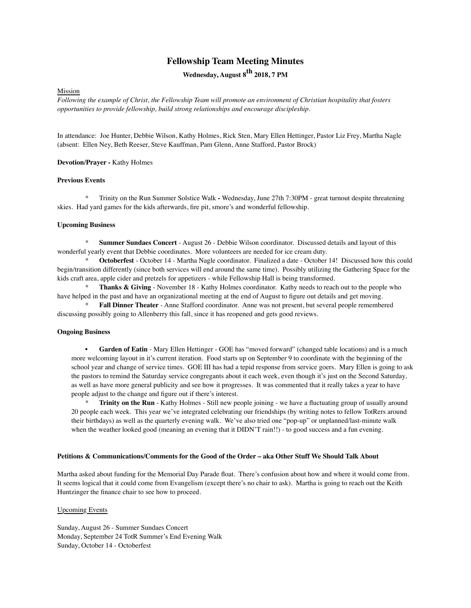# **Fellowship Team Meeting Minutes**

Wednesday, August 8<sup>th</sup> 2018, 7 PM

## Mission

*Following the example of Christ, the Fellowship Team will promote an environment of Christian hospitality that fosters opportunities to provide fellowship, build strong relationships and encourage discipleship.*

In attendance: Joe Hunter, Debbie Wilson, Kathy Holmes, Rick Sten, Mary Ellen Hettinger, Pastor Liz Frey, Martha Nagle (absent: Ellen Ney, Beth Reeser, Steve Kauffman, Pam Glenn, Anne Stafford, Pastor Brock)

**Devotion/Prayer -** Kathy Holmes

#### **Previous Events**

\* Trinity on the Run Summer Solstice Walk **-** Wednesday, June 27th 7:30PM - great turnout despite threatening skies. Had yard games for the kids afterwards, fire pit, smore's and wonderful fellowship.

#### **Upcoming Business**

**Summer Sundaes Concert** - August 26 - Debbie Wilson coordinator. Discussed details and layout of this wonderful yearly event that Debbie coordinates. More volunteers are needed for ice cream duty.

Octoberfest - October 14 - Martha Nagle coordinator. Finalized a date - October 14! Discussed how this could begin/transition differently (since both services will end around the same time). Possibly utilizing the Gathering Space for the kids craft area, apple cider and pretzels for appetizers - while Fellowship Hall is being transformed.

\* **Thanks & Giving** - November 18 - Kathy Holmes coordinator. Kathy needs to reach out to the people who have helped in the past and have an organizational meeting at the end of August to figure out details and get moving.

\* **Fall Dinner Theater** - Anne Stafford coordinator. Anne was not present, but several people remembered discussing possibly going to Allenberry this fall, since it has reopened and gets good reviews.

# **Ongoing Business**

• **Garden of Eatin** - Mary Ellen Hettinger - GOE has "moved forward" (changed table locations) and is a much more welcoming layout in it's current iteration. Food starts up on September 9 to coordinate with the beginning of the school year and change of service times. GOE III has had a tepid response from service goers. Mary Ellen is going to ask the pastors to remind the Saturday service congregants about it each week, even though it's just on the Second Saturday, as well as have more general publicity and see how it progresses. It was commented that it really takes a year to have people adjust to the change and figure out if there's interest.

**Trinity on the Run** - Kathy Holmes - Still new people joining - we have a fluctuating group of usually around 20 people each week. This year we've integrated celebrating our friendships (by writing notes to fellow TotRers around their birthdays) as well as the quarterly evening walk. We've also tried one "pop-up" or unplanned/last-minute walk when the weather looked good (meaning an evening that it DIDN'T rain!!) - to good success and a fun evening.

# **Petitions & Communications/Comments for the Good of the Order – aka Other Stuff We Should Talk About**

Martha asked about funding for the Memorial Day Parade float. There's confusion about how and where it would come from. It seems logical that it could come from Evangelism (except there's no chair to ask). Martha is going to reach out the Keith Huntzinger the finance chair to see how to proceed.

### Upcoming Events

Sunday, August 26 - Summer Sundaes Concert Monday, September 24 TotR Summer's End Evening Walk Sunday, October 14 - Octoberfest